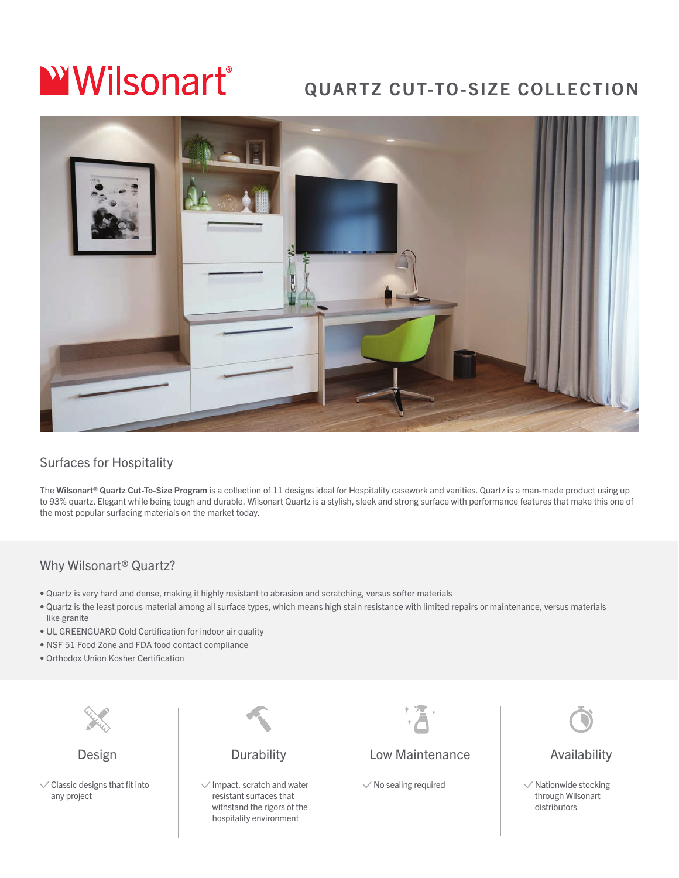# **WWilsonart**®

## QUARTZ CUT-TO-SIZE COLLECTION



#### Surfaces for Hospitality

The Wilsonart® Quartz Cut-To-Size Program is a collection of 11 designs ideal for Hospitality casework and vanities. Quartz is a man-made product using up to 93% quartz. Elegant while being tough and durable, Wilsonart Quartz is a stylish, sleek and strong surface with performance features that make this one of the most popular surfacing materials on the market today.

#### Why Wilsonart® Quartz?

- Quartz is very hard and dense, making it highly resistant to abrasion and scratching, versus softer materials
- Quartz is the least porous material among all surface types, which means high stain resistance with limited repairs or maintenance, versus materials like granite
- UL GREENGUARD Gold Certification for indoor air quality
- NSF 51 Food Zone and FDA food contact compliance
- Orthodox Union Kosher Certification



Design

 $\vee$  Classic designs that fit into any project



 $\vee$  Impact, scratch and water resistant surfaces that withstand the rigors of the hospitality environment

#### Low Maintenance

 $\vee$  No sealing required



Availability

 $\vee$  Nationwide stocking through Wilsonart distributors